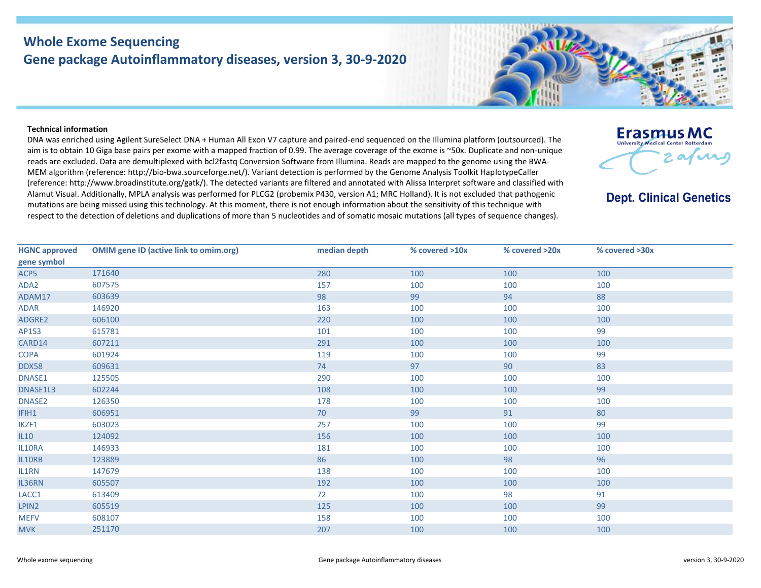## **Whole Exome Sequencing Gene package Autoinflammatory diseases, version 3, 30-9-2020**



## **Technical information**

DNA was enriched using Agilent SureSelect DNA + Human All Exon V7 capture and paired-end sequenced on the Illumina platform (outsourced). The aim is to obtain 10 Giga base pairs per exome with a mapped fraction of 0.99. The average coverage of the exome is ~50x. Duplicate and non-unique reads are excluded. Data are demultiplexed with bcl2fastq Conversion Software from Illumina. Reads are mapped to the genome using the BWA-MEM algorithm (reference: http://bio‐bwa.sourceforge.net/). Variant detection is performed by the Genome Analysis Toolkit HaplotypeCaller (reference: http://www.broadinstitute.org/gatk/). The detected variants are filtered and annotated with Alissa Interpret software and classified with Alamut Visual. Additionally, MPLA analysis was performed for PLCG2 (probemix P430, version A1; MRC Holland). It is not excluded that pathogenic mutations are being missed using this technology. At this moment, there is not enough information about the sensitivity of this technique with respect to the detection of deletions and duplications of more than 5 nucleotides and of somatic mosaic mutations (all types of sequence changes).



## **Dept. Clinical Genetics**

| <b>HGNC approved</b> | <b>OMIM gene ID (active link to omim.org)</b> | median depth | % covered >10x | % covered >20x | % covered >30x |
|----------------------|-----------------------------------------------|--------------|----------------|----------------|----------------|
| gene symbol          |                                               |              |                |                |                |
| ACP5                 | 171640                                        | 280          | 100            | 100            | 100            |
| ADA2                 | 607575                                        | 157          | 100            | 100            | 100            |
| ADAM17               | 603639                                        | 98           | 99             | 94             | 88             |
| ADAR                 | 146920                                        | 163          | 100            | 100            | 100            |
| ADGRE2               | 606100                                        | 220          | 100            | 100            | 100            |
| <b>AP1S3</b>         | 615781                                        | 101          | 100            | 100            | 99             |
| CARD14               | 607211                                        | 291          | 100            | 100            | 100            |
| <b>COPA</b>          | 601924                                        | 119          | 100            | 100            | 99             |
| DDX58                | 609631                                        | 74           | 97             | 90             | 83             |
| DNASE1               | 125505                                        | 290          | 100            | 100            | 100            |
| DNASE1L3             | 602244                                        | 108          | 100            | 100            | 99             |
| DNASE2               | 126350                                        | 178          | 100            | 100            | 100            |
| IFIH1                | 606951                                        | 70           | 99             | 91             | 80             |
| IKZF1                | 603023                                        | 257          | 100            | 100            | 99             |
| IL10                 | 124092                                        | 156          | 100            | 100            | 100            |
| IL10RA               | 146933                                        | 181          | 100            | 100            | 100            |
| IL10RB               | 123889                                        | 86           | 100            | 98             | 96             |
| IL1RN                | 147679                                        | 138          | 100            | 100            | 100            |
| IL36RN               | 605507                                        | 192          | 100            | 100            | 100            |
| LACC1                | 613409                                        | 72           | 100            | 98             | 91             |
| LPIN2                | 605519                                        | 125          | 100            | 100            | 99             |
| <b>MEFV</b>          | 608107                                        | 158          | 100            | 100            | 100            |
| <b>MVK</b>           | 251170                                        | 207          | 100            | 100            | 100            |